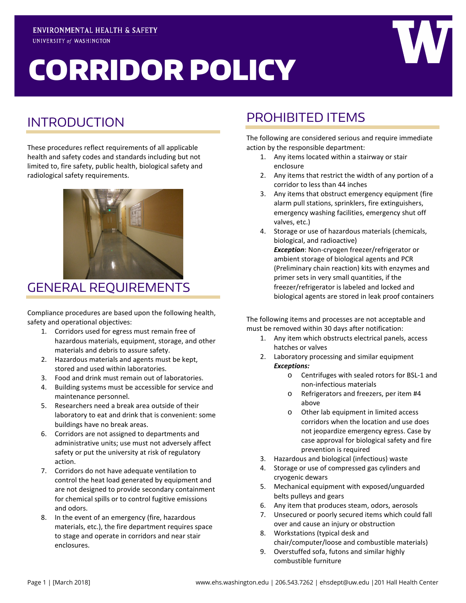# CORRIDOR POLICY





These procedures reflect requirements of all applicable health and safety codes and standards including but not limited to, fire safety, public health, biological safety and radiological safety requirements.



## GENERAL REQUIREMENTS

Compliance procedures are based upon the following health, safety and operational objectives:

- 1. Corridors used for egress must remain free of hazardous materials, equipment, storage, and other materials and debris to assure safety.
- 2. Hazardous materials and agents must be kept, stored and used within laboratories.
- 3. Food and drink must remain out of laboratories.
- 4. Building systems must be accessible for service and maintenance personnel.
- 5. Researchers need a break area outside of their laboratory to eat and drink that is convenient: some buildings have no break areas.
- 6. Corridors are not assigned to departments and administrative units; use must not adversely affect safety or put the university at risk of regulatory action.
- 7. Corridors do not have adequate ventilation to control the heat load generated by equipment and are not designed to provide secondary containment for chemical spills or to control fugitive emissions and odors.
- 8. In the event of an emergency (fire, hazardous materials, etc.), the fire department requires space to stage and operate in corridors and near stair enclosures.

# PROHIBITED ITEMS

The following are considered serious and require immediate action by the responsible department:

- 1. Any items located within a stairway or stair enclosure
- 2. Any items that restrict the width of any portion of a corridor to less than 44 inches
- 3. Any items that obstruct emergency equipment (fire alarm pull stations, sprinklers, fire extinguishers, emergency washing facilities, emergency shut off valves, etc.)
- 4. Storage or use of hazardous materials (chemicals, biological, and radioactive) *Exception*: Non-cryogen freezer/refrigerator or ambient storage of biological agents and PCR (Preliminary chain reaction) kits with enzymes and primer sets in very small quantities, if the freezer/refrigerator is labeled and locked and biological agents are stored in leak proof containers

The following items and processes are not acceptable and must be removed within 30 days after notification:

- 1. Any item which obstructs electrical panels, access hatches or valves
- 2. Laboratory processing and similar equipment *Exceptions:*
	- o Centrifuges with sealed rotors for BSL-1 and non-infectious materials
	- o Refrigerators and freezers, per item #4 above
	- o Other lab equipment in limited access corridors when the location and use does not jeopardize emergency egress. Case by case approval for biological safety and fire prevention is required
- 3. Hazardous and biological (infectious) waste
- 4. Storage or use of compressed gas cylinders and cryogenic dewars
- 5. Mechanical equipment with exposed/unguarded belts pulleys and gears
- 6. Any item that produces steam, odors, aerosols
- 7. Unsecured or poorly secured items which could fall over and cause an injury or obstruction
- 8. Workstations (typical desk and chair/computer/loose and combustible materials)
- 9. Overstuffed sofa, futons and similar highly combustible furniture